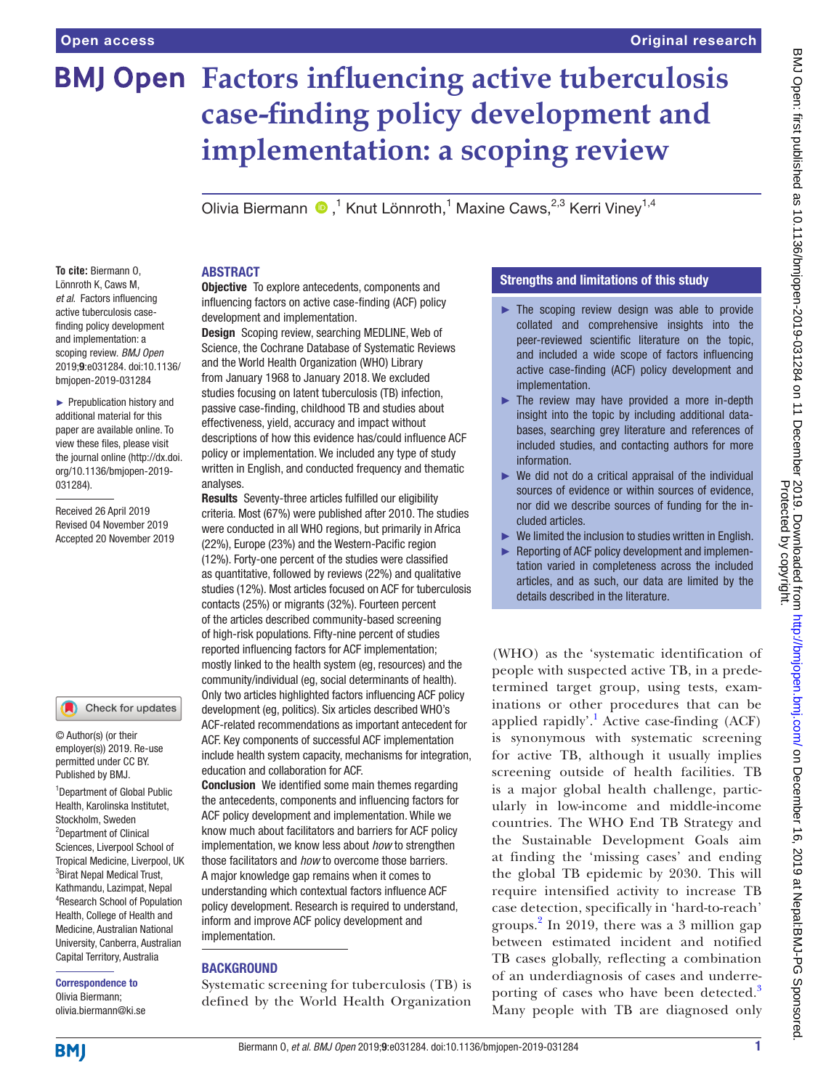# **BMJ Open Factors influencing active tuberculosis case-finding policy development and implementation: a scoping review**

OliviaBiermann (D,<sup>1</sup> Knut Lönnroth,<sup>1</sup> Maxine Caws,<sup>2,3</sup> Kerri Viney<sup>1,4</sup>

#### **To cite:** Biermann O, Lönnroth K, Caws M, *et al*. Factors influencing active tuberculosis casefinding policy development and implementation: a scoping review. *BMJ Open* 2019;9:e031284. doi:10.1136/ bmjopen-2019-031284

► Prepublication history and additional material for this paper are available online. To view these files, please visit the journal online (http://dx.doi. org/10.1136/bmjopen-2019- 031284).

Received 26 April 2019 Revised 04 November 2019 Accepted 20 November 2019

#### Check for updates

© Author(s) (or their employer(s)) 2019. Re-use permitted under CC BY. Published by BMJ.

<sup>1</sup>Department of Global Public Health, Karolinska Institutet, Stockholm, Sweden <sup>2</sup>Department of Clinical Sciences, Liverpool School of Tropical Medicine, Liverpool, UK <sup>3</sup> Birat Nepal Medical Trust, Kathmandu, Lazimpat, Nepal 4 Research School of Population Health, College of Health and Medicine, Australian National University, Canberra, Australian Capital Territory, Australia

Correspondence to Olivia Biermann; olivia.biermann@ki.se

#### **ABSTRACT**

**Objective** To explore antecedents, components and influencing factors on active case-finding (ACF) policy development and implementation.

Design Scoping review, searching MEDLINE, Web of Science, the Cochrane Database of Systematic Reviews and the World Health Organization (WHO) Library from January 1968 to January 2018. We excluded studies focusing on latent tuberculosis (TB) infection, passive case-finding, childhood TB and studies about effectiveness, yield, accuracy and impact without descriptions of how this evidence has/could influence ACF policy or implementation. We included any type of study written in English, and conducted frequency and thematic analyses.

Results Seventy-three articles fulfilled our eligibility criteria. Most (67%) were published after 2010. The studies were conducted in all WHO regions, but primarily in Africa (22%), Europe (23%) and the Western-Pacific region (12%). Forty-one percent of the studies were classified as quantitative, followed by reviews (22%) and qualitative studies (12%). Most articles focused on ACF for tuberculosis contacts (25%) or migrants (32%). Fourteen percent of the articles described community-based screening of high-risk populations. Fifty-nine percent of studies reported influencing factors for ACF implementation; mostly linked to the health system (eg, resources) and the community/individual (eg, social determinants of health). Only two articles highlighted factors influencing ACF policy development (eg, politics). Six articles described WHO's ACF-related recommendations as important antecedent for ACF. Key components of successful ACF implementation include health system capacity, mechanisms for integration, education and collaboration for ACF.

Conclusion We identified some main themes regarding the antecedents, components and influencing factors for ACF policy development and implementation. While we know much about facilitators and barriers for ACF policy implementation, we know less about *how* to strengthen those facilitators and *how* to overcome those barriers. A major knowledge gap remains when it comes to understanding which contextual factors influence ACF policy development. Research is required to understand, inform and improve ACF policy development and implementation.

#### **BACKGROUND**

Systematic screening for tuberculosis (TB) is defined by the World Health Organization

#### Strengths and limitations of this study

- ► The scoping review design was able to provide collated and comprehensive insights into the peer-reviewed scientific literature on the topic, and included a wide scope of factors influencing active case-finding (ACF) policy development and implementation.
- $\blacktriangleright$  The review may have provided a more in-depth insight into the topic by including additional databases, searching grey literature and references of included studies, and contacting authors for more **information**
- $\blacktriangleright$  We did not do a critical appraisal of the individual sources of evidence or within sources of evidence, nor did we describe sources of funding for the included articles.
- ► We limited the inclusion to studies written in English.
- ► Reporting of ACF policy development and implementation varied in completeness across the included articles, and as such, our data are limited by the details described in the literature.

(WHO) as the 'systematic identification of people with suspected active TB, in a predetermined target group, using tests, examinations or other procedures that can be applied rapidly'.<sup>[1](#page-9-0)</sup> Active case-finding  $(ACF)$ is synonymous with systematic screening for active TB, although it usually implies screening outside of health facilities. TB is a major global health challenge, particularly in low-income and middle-income countries. The WHO End TB Strategy and the Sustainable Development Goals aim at finding the 'missing cases' and ending the global TB epidemic by 2030. This will require intensified activity to increase TB case detection, specifically in 'hard-to-reach' groups.[2](#page-9-1) In 2019, there was a 3 million gap between estimated incident and notified TB cases globally, reflecting a combination of an underdiagnosis of cases and underre-porting of cases who have been detected.<sup>[3](#page-9-2)</sup> Many people with TB are diagnosed only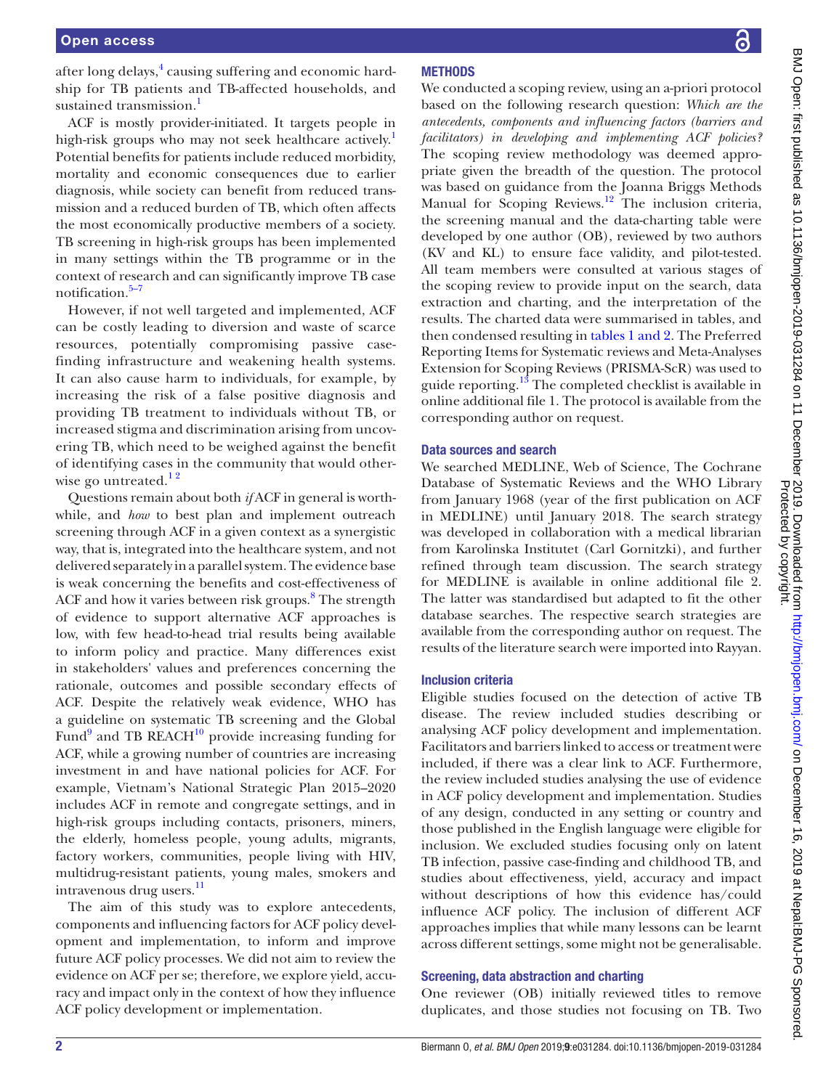after long delays, $^4$  $^4$  causing suffering and economic hardship for TB patients and TB-affected households, and sustained transmission.<sup>[1](#page-9-0)</sup>

ACF is mostly provider-initiated. It targets people in high-risk groups who may not seek healthcare actively.<sup>[1](#page-9-0)</sup> Potential benefits for patients include reduced morbidity, mortality and economic consequences due to earlier diagnosis, while society can benefit from reduced transmission and a reduced burden of TB, which often affects the most economically productive members of a society. TB screening in high-risk groups has been implemented in many settings within the TB programme or in the context of research and can significantly improve TB case notification.<sup>[5–7](#page-9-4)</sup>

However, if not well targeted and implemented, ACF can be costly leading to diversion and waste of scarce resources, potentially compromising passive casefinding infrastructure and weakening health systems. It can also cause harm to individuals, for example, by increasing the risk of a false positive diagnosis and providing TB treatment to individuals without TB, or increased stigma and discrimination arising from uncovering TB, which need to be weighed against the benefit of identifying cases in the community that would otherwise go untreated. $12$ 

Questions remain about both *if* ACF in general is worthwhile, and *how* to best plan and implement outreach screening through ACF in a given context as a synergistic way, that is, integrated into the healthcare system, and not delivered separately in a parallel system. The evidence base is weak concerning the benefits and cost-effectiveness of ACF and how it varies between risk groups.<sup>[8](#page-9-5)</sup> The strength of evidence to support alternative ACF approaches is low, with few head-to-head trial results being available to inform policy and practice. Many differences exist in stakeholders' values and preferences concerning the rationale, outcomes and possible secondary effects of ACF. Despite the relatively weak evidence, WHO has a guideline on systematic TB screening and the Global Fund<sup>9</sup> and TB REACH $^{10}$  provide increasing funding for ACF, while a growing number of countries are increasing investment in and have national policies for ACF. For example, Vietnam's National Strategic Plan 2015–2020 includes ACF in remote and congregate settings, and in high-risk groups including contacts, prisoners, miners, the elderly, homeless people, young adults, migrants, factory workers, communities, people living with HIV, multidrug-resistant patients, young males, smokers and intravenous drug users.<sup>11</sup>

The aim of this study was to explore antecedents, components and influencing factors for ACF policy development and implementation, to inform and improve future ACF policy processes. We did not aim to review the evidence on ACF per se; therefore, we explore yield, accuracy and impact only in the context of how they influence ACF policy development or implementation.

႕

### **METHODS**

We conducted a scoping review, using an a-priori protocol based on the following research question: *Which are the antecedents, components and influencing factors (barriers and facilitators) in developing and implementing ACF policies?* The scoping review methodology was deemed appropriate given the breadth of the question. The protocol was based on guidance from the Joanna Briggs Methods Manual for Scoping Reviews.<sup>12</sup> The inclusion criteria, the screening manual and the data-charting table were developed by one author (OB), reviewed by two authors (KV and KL) to ensure face validity, and pilot-tested. All team members were consulted at various stages of the scoping review to provide input on the search, data extraction and charting, and the interpretation of the results. The charted data were summarised in tables, and then condensed resulting in tables [1 and 2.](#page-2-0) The Preferred Reporting Items for Systematic reviews and Meta-Analyses Extension for Scoping Reviews (PRISMA-ScR) was used to guide reporting.<sup>[13](#page-9-10)</sup> The completed checklist is available in [online additional file 1.](https://dx.doi.org/10.1136/bmjopen-2019-031284) The protocol is available from the corresponding author on request.

#### Data sources and search

We searched MEDLINE, Web of Science, The Cochrane Database of Systematic Reviews and the WHO Library from January 1968 (year of the first publication on ACF in MEDLINE) until January 2018. The search strategy was developed in collaboration with a medical librarian from Karolinska Institutet (Carl Gornitzki), and further refined through team discussion. The search strategy for MEDLINE is available in [online additional file 2](https://dx.doi.org/10.1136/bmjopen-2019-031284). The latter was standardised but adapted to fit the other database searches. The respective search strategies are available from the corresponding author on request. The results of the literature search were imported into Rayyan.

#### Inclusion criteria

Eligible studies focused on the detection of active TB disease. The review included studies describing or analysing ACF policy development and implementation. Facilitators and barriers linked to access or treatment were included, if there was a clear link to ACF. Furthermore, the review included studies analysing the use of evidence in ACF policy development and implementation. Studies of any design, conducted in any setting or country and those published in the English language were eligible for inclusion. We excluded studies focusing only on latent TB infection, passive case-finding and childhood TB, and studies about effectiveness, yield, accuracy and impact without descriptions of how this evidence has/could influence ACF policy. The inclusion of different ACF approaches implies that while many lessons can be learnt across different settings, some might not be generalisable.

#### Screening, data abstraction and charting

One reviewer (OB) initially reviewed titles to remove duplicates, and those studies not focusing on TB. Two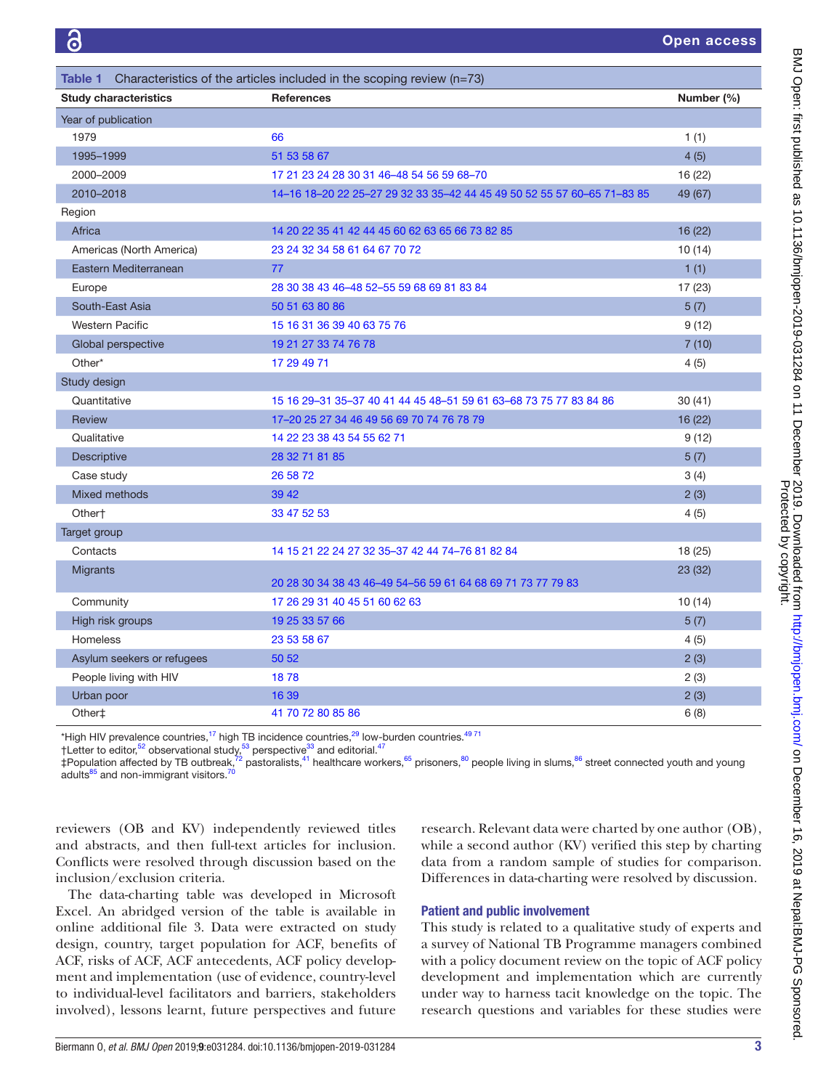<span id="page-2-0"></span>

| Table 1 Characteristics of the articles included in the scoping review ( $n=73$ ) |                                                                         |            |  |
|-----------------------------------------------------------------------------------|-------------------------------------------------------------------------|------------|--|
| <b>Study characteristics</b>                                                      | <b>References</b>                                                       | Number (%) |  |
| Year of publication                                                               |                                                                         |            |  |
| 1979                                                                              | 66                                                                      | 1(1)       |  |
| 1995-1999                                                                         | 51 53 58 67                                                             | 4(5)       |  |
| 2000-2009                                                                         | 17 21 23 24 28 30 31 46-48 54 56 59 68-70                               | 16 (22)    |  |
| 2010-2018                                                                         | 14-16 18-20 22 25-27 29 32 33 35-42 44 45 49 50 52 55 57 60-65 71-83 85 | 49 (67)    |  |
| Region                                                                            |                                                                         |            |  |
| Africa                                                                            | 14 20 22 35 41 42 44 45 60 62 63 65 66 73 82 85                         | 16 (22)    |  |
| Americas (North America)                                                          | 23 24 32 34 58 61 64 67 70 72                                           | 10(14)     |  |
| Eastern Mediterranean                                                             | 77                                                                      | 1(1)       |  |
| Europe                                                                            | 28 30 38 43 46-48 52-55 59 68 69 81 83 84                               | 17 (23)    |  |
| South-East Asia                                                                   | 50 51 63 80 86                                                          | 5(7)       |  |
| <b>Western Pacific</b>                                                            | 15 16 31 36 39 40 63 75 76                                              | 9(12)      |  |
| Global perspective                                                                | 19 21 27 33 74 76 78                                                    | 7(10)      |  |
| Other*                                                                            | 17 29 49 71                                                             | 4(5)       |  |
| Study design                                                                      |                                                                         |            |  |
| Quantitative                                                                      | 15 16 29-31 35-37 40 41 44 45 48-51 59 61 63-68 73 75 77 83 84 86       | 30(41)     |  |
| Review                                                                            | 17-20 25 27 34 46 49 56 69 70 74 76 78 79                               | 16 (22)    |  |
| Qualitative                                                                       | 14 22 23 38 43 54 55 62 71                                              | 9(12)      |  |
| Descriptive                                                                       | 28 32 71 81 85                                                          | 5(7)       |  |
| Case study                                                                        | 26 58 72                                                                | 3(4)       |  |
| Mixed methods                                                                     | 39 42                                                                   | 2(3)       |  |
| Other†                                                                            | 33 47 52 53                                                             | 4(5)       |  |
| Target group                                                                      |                                                                         |            |  |
| Contacts                                                                          | 14 15 21 22 24 27 32 35-37 42 44 74-76 81 82 84                         | 18 (25)    |  |
| Migrants                                                                          |                                                                         | 23 (32)    |  |
|                                                                                   | 20 28 30 34 38 43 46-49 54-56 59 61 64 68 69 71 73 77 79 83             |            |  |
| Community                                                                         | 17 26 29 31 40 45 51 60 62 63                                           | 10(14)     |  |
| High risk groups                                                                  | 19 25 33 57 66                                                          | 5(7)       |  |
| <b>Homeless</b>                                                                   | 23 53 58 67                                                             | 4(5)       |  |
| Asylum seekers or refugees                                                        | 50 52                                                                   | 2(3)       |  |
| People living with HIV                                                            | 1878                                                                    | 2(3)       |  |
| Urban poor                                                                        | 16 39                                                                   | 2(3)       |  |
| Other‡                                                                            | 41 70 72 80 85 86                                                       | 6(8)       |  |

\*High HIV prevalence countries,<sup>[17](#page-9-11)</sup> high TB incidence countries,<sup>29</sup> low-burden countries.<sup>4971</sup>

†Letter to editor,<sup>52</sup> observational study,<sup>53</sup> perspective<sup>33</sup> and editorial.<sup>47</sup>

‡Population affected by TB outbreak,<sup>72</sup> pastoralists,<sup>41</sup> healthcare workers,<sup>65</sup> prisoners,<sup>[80](#page-11-1)</sup> people living in slums,<sup>[86](#page-11-2)</sup> street connected youth and young adults $^{85}$  and non-immigrant visitors.<sup>[70](#page-10-14)</sup>

reviewers (OB and KV) independently reviewed titles and abstracts, and then full-text articles for inclusion. Conflicts were resolved through discussion based on the inclusion/exclusion criteria.

The data-charting table was developed in Microsoft Excel. An abridged version of the table is available in [online additional file 3](https://dx.doi.org/10.1136/bmjopen-2019-031284). Data were extracted on study design, country, target population for ACF, benefits of ACF, risks of ACF, ACF antecedents, ACF policy development and implementation (use of evidence, country-level to individual-level facilitators and barriers, stakeholders involved), lessons learnt, future perspectives and future

research. Relevant data were charted by one author (OB), while a second author (KV) verified this step by charting data from a random sample of studies for comparison. Differences in data-charting were resolved by discussion.

#### Patient and public involvement

This study is related to a qualitative study of experts and a survey of National TB Programme managers combined with a policy document review on the topic of ACF policy development and implementation which are currently under way to harness tacit knowledge on the topic. The research questions and variables for these studies were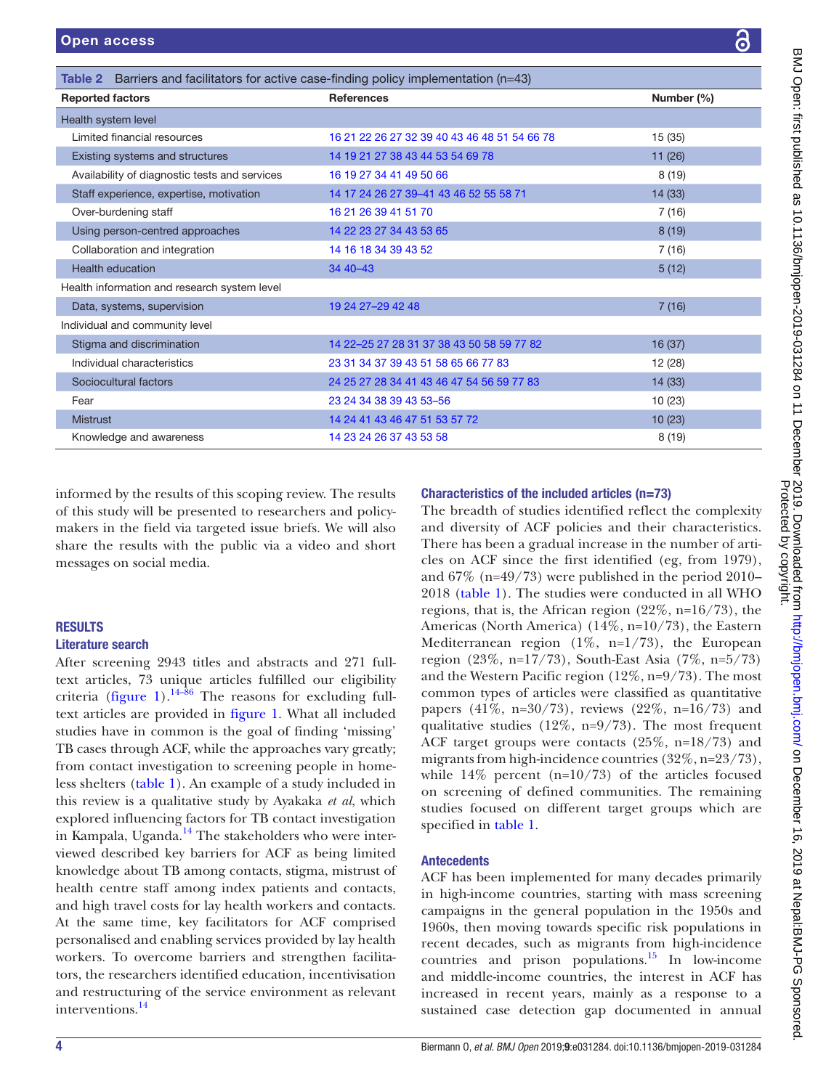<span id="page-3-0"></span>

| <b>Table 2</b> Barriers and facilitators for active case-finding policy implementation $(n=43)$ |                                              |            |  |
|-------------------------------------------------------------------------------------------------|----------------------------------------------|------------|--|
| <b>Reported factors</b>                                                                         | <b>References</b>                            | Number (%) |  |
| Health system level                                                                             |                                              |            |  |
| Limited financial resources                                                                     | 16 21 22 26 27 32 39 40 43 46 48 51 54 66 78 | 15(35)     |  |
| Existing systems and structures                                                                 | 14 19 21 27 38 43 44 53 54 69 78             | 11(26)     |  |
| Availability of diagnostic tests and services                                                   | 16 19 27 34 41 49 50 66                      | 8(19)      |  |
| Staff experience, expertise, motivation                                                         | 14 17 24 26 27 39 - 41 43 46 52 55 58 71     | 14(33)     |  |
| Over-burdening staff                                                                            | 16 21 26 39 41 51 70                         | 7(16)      |  |
| Using person-centred approaches                                                                 | 14 22 23 27 34 43 53 65                      | 8(19)      |  |
| Collaboration and integration                                                                   | 14 16 18 34 39 43 52                         | 7 (16)     |  |
| <b>Health education</b>                                                                         | 34 40 - 43                                   | 5(12)      |  |
| Health information and research system level                                                    |                                              |            |  |
| Data, systems, supervision                                                                      | 19 24 27 - 29 42 48                          | 7(16)      |  |
| Individual and community level                                                                  |                                              |            |  |
| Stigma and discrimination                                                                       | 14 22 - 25 27 28 31 37 38 43 50 58 59 77 82  | 16(37)     |  |
| Individual characteristics                                                                      | 23 31 34 37 39 43 51 58 65 66 77 83          | 12 (28)    |  |
| Sociocultural factors                                                                           | 24 25 27 28 34 41 43 46 47 54 56 59 77 83    | 14(33)     |  |
| Fear                                                                                            | 23 24 34 38 39 43 53-56                      | 10(23)     |  |
| <b>Mistrust</b>                                                                                 | 14 24 41 43 46 47 51 53 57 72                | 10(23)     |  |
| Knowledge and awareness                                                                         | 14 23 24 26 37 43 53 58                      | 8(19)      |  |

informed by the results of this scoping review. The results of this study will be presented to researchers and policymakers in the field via targeted issue briefs. We will also share the results with the public via a video and short messages on social media.

#### **RESULTS**

#### Literature search

After screening 2943 titles and abstracts and 271 fulltext articles, 73 unique articles fulfilled our eligibility criteria ([figure](#page-4-0) 1).<sup>[14–86](#page-9-12)</sup> The reasons for excluding fulltext articles are provided in [figure](#page-4-0) 1. What all included studies have in common is the goal of finding 'missing' TB cases through ACF, while the approaches vary greatly; from contact investigation to screening people in homeless shelters ([table](#page-2-0) 1). An example of a study included in this review is a qualitative study by Ayakaka *et al*, which explored influencing factors for TB contact investigation in Kampala, Uganda.<sup>14</sup> The stakeholders who were interviewed described key barriers for ACF as being limited knowledge about TB among contacts, stigma, mistrust of health centre staff among index patients and contacts, and high travel costs for lay health workers and contacts. At the same time, key facilitators for ACF comprised personalised and enabling services provided by lay health workers. To overcome barriers and strengthen facilitators, the researchers identified education, incentivisation and restructuring of the service environment as relevant interventions.[14](#page-9-12)

#### Characteristics of the included articles (n=73)

The breadth of studies identified reflect the complexity and diversity of ACF policies and their characteristics. There has been a gradual increase in the number of articles on ACF since the first identified (eg, from 1979), and  $67\%$  (n=49/73) were published in the period 2010– 2018 [\(table](#page-2-0) 1). The studies were conducted in all WHO regions, that is, the African region  $(22\%, n=16/73)$ , the Americas (North America) (14%, n=10/73), the Eastern Mediterranean region (1%, n=1/73), the European region (23%, n=17/73), South-East Asia (7%, n=5/73) and the Western Pacific region (12%, n=9/73). The most common types of articles were classified as quantitative papers (41%, n=30/73), reviews (22%, n=16/73) and qualitative studies (12%, n=9/73). The most frequent ACF target groups were contacts (25%, n=18/73) and migrants from high-incidence countries (32%, n=23/73), while  $14\%$  percent (n=10/73) of the articles focused on screening of defined communities. The remaining studies focused on different target groups which are specified in [table](#page-2-0) 1.

#### Antecedents

ACF has been implemented for many decades primarily in high-income countries, starting with mass screening campaigns in the general population in the 1950s and 1960s, then moving towards specific risk populations in recent decades, such as migrants from high-incidence countries and prison populations.<sup>[15](#page-9-14)</sup> In low-income and middle-income countries, the interest in ACF has increased in recent years, mainly as a response to a sustained case detection gap documented in annual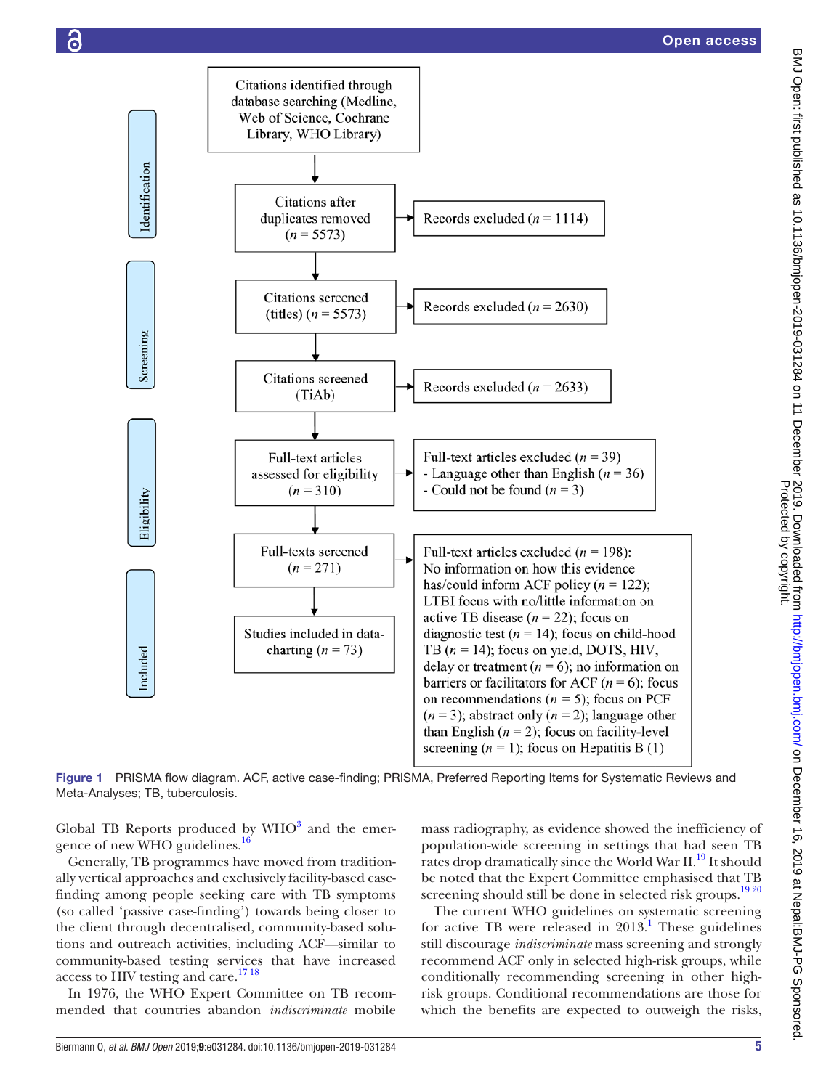



<span id="page-4-0"></span>Figure 1 PRISMA flow diagram. ACF, active case-finding; PRISMA, Preferred Reporting Items for Systematic Reviews and Meta-Analyses; TB, tuberculosis.

Global TB Reports produced by  $WHO<sup>3</sup>$  $WHO<sup>3</sup>$  $WHO<sup>3</sup>$  and the emer-gence of new WHO guidelines.<sup>[16](#page-9-19)</sup>

Generally, TB programmes have moved from traditionally vertical approaches and exclusively facility-based casefinding among people seeking care with TB symptoms (so called 'passive case-finding') towards being closer to the client through decentralised, community-based solutions and outreach activities, including ACF—similar to community-based testing services that have increased access to HIV testing and care.<sup>1718</sup>

In 1976, the WHO Expert Committee on TB recommended that countries abandon *indiscriminate* mobile

mass radiography, as evidence showed the inefficiency of population-wide screening in settings that had seen TB rates drop dramatically since the World War II.<sup>19</sup> It should be noted that the Expert Committee emphasised that TB screening should still be done in selected risk groups.<sup>1920</sup>

The current WHO guidelines on systematic screening for active TB were released in  $2013$  $2013$  $2013$ .<sup>1</sup> These guidelines still discourage *indiscriminate* mass screening and strongly recommend ACF only in selected high-risk groups, while conditionally recommending screening in other highrisk groups. Conditional recommendations are those for which the benefits are expected to outweigh the risks,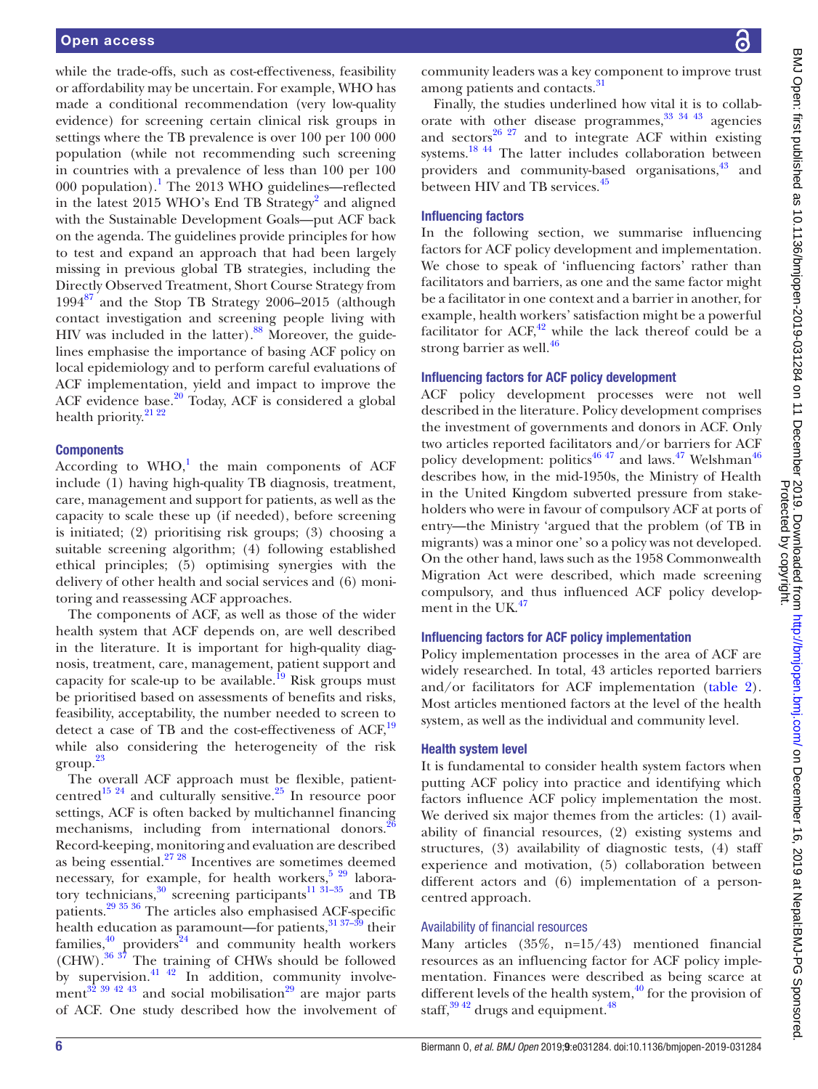while the trade-offs, such as cost-effectiveness, feasibility or affordability may be uncertain. For example, WHO has made a conditional recommendation (very low-quality evidence) for screening certain clinical risk groups in settings where the TB prevalence is over 100 per 100 000 population (while not recommending such screening in countries with a prevalence of less than 100 per 100 000 population).<sup>[1](#page-9-0)</sup> The 2013 WHO guidelines—reflected in the latest [2](#page-9-1)015 WHO's End TB Strategy<sup>2</sup> and aligned with the Sustainable Development Goals—put ACF back on the agenda. The guidelines provide principles for how to test and expand an approach that had been largely missing in previous global TB strategies, including the Directly Observed Treatment, Short Course Strategy from  $1994^{87}$  $1994^{87}$  $1994^{87}$  and the Stop TB Strategy 2006–2015 (although contact investigation and screening people living with HIV was included in the latter). $88$  Moreover, the guidelines emphasise the importance of basing ACF policy on local epidemiology and to perform careful evaluations of ACF implementation, yield and impact to improve the ACF evidence base.<sup>20</sup> Today, ACF is considered a global health priority.<sup>21</sup><sup>22</sup>

#### **Components**

According to  $WHO<sup>1</sup>$ , the main components of ACF include (1) having high-quality TB diagnosis, treatment, care, management and support for patients, as well as the capacity to scale these up (if needed), before screening is initiated; (2) prioritising risk groups; (3) choosing a suitable screening algorithm; (4) following established ethical principles; (5) optimising synergies with the delivery of other health and social services and (6) monitoring and reassessing ACF approaches.

The components of ACF, as well as those of the wider health system that ACF depends on, are well described in the literature. It is important for high-quality diagnosis, treatment, care, management, patient support and capacity for scale-up to be available.<sup>19</sup> Risk groups must be prioritised based on assessments of benefits and risks, feasibility, acceptability, the number needed to screen to detect a case of TB and the cost-effectiveness of ACF,<sup>[19](#page-9-15)</sup> while also considering the heterogeneity of the risk  $\mathrm{group}^{\,23}$  $\mathrm{group}^{\,23}$  $\mathrm{group}^{\,23}$ 

The overall ACF approach must be flexible, patientcentred<sup>15 24</sup> and culturally sensitive.<sup>25</sup> In resource poor settings, ACF is often backed by multichannel financing mechanisms, including from international donors.<sup>26</sup> Record-keeping, monitoring and evaluation are described as being essential. $27 28$  Incentives are sometimes deemed necessary, for example, for health workers,<sup>5 29</sup> laboratory technicians,<sup>30</sup> screening participants<sup>11 31–35</sup> and TB patients[.29 35 36](#page-10-7) The articles also emphasised ACF-specific health education as paramount—for patients, $31\frac{37-39}{12}$  their families, $40$  providers $44$  and community health workers (CHW).[36 37](#page-10-20) The training of CHWs should be followed by supervision. $41 \frac{42}{10}$  In addition, community involvement<sup>32</sup>  $39\frac{42\frac{43}{5}}{30\frac{42\frac{43}{5}}{30\frac{43}{5}}$  and social mobilisation<sup>29</sup> are major parts of ACF. One study described how the involvement of

community leaders was a key component to improve trust among patients and contacts.<sup>[31](#page-10-18)</sup>

Finally, the studies underlined how vital it is to collaborate with other disease programmes,  $33 \frac{34 \frac{43}{1}}{3}$  agencies and sectors $^{26}$   $^{27}$  and to integrate ACF within existing systems.<sup>18 44</sup> The latter includes collaboration between providers and community-based organisations, $43$  and between HIV and TB services.<sup>[45](#page-10-23)</sup>

#### Influencing factors

In the following section, we summarise influencing factors for ACF policy development and implementation. We chose to speak of 'influencing factors' rather than facilitators and barriers, as one and the same factor might be a facilitator in one context and a barrier in another, for example, health workers' satisfaction might be a powerful facilitator for  $ACF<sub>1</sub><sup>42</sup>$  while the lack thereof could be a strong barrier as well. $^{46}$  $^{46}$  $^{46}$ 

#### Influencing factors for ACF policy development

ACF policy development processes were not well described in the literature. Policy development comprises the investment of governments and donors in ACF. Only two articles reported facilitators and/or barriers for ACF policy development: politics<sup>[46 47](#page-10-25)</sup> and laws.<sup>47</sup> Welshman<sup>[46](#page-10-25)</sup> describes how, in the mid-1950s, the Ministry of Health in the United Kingdom subverted pressure from stakeholders who were in favour of compulsory ACF at ports of entry—the Ministry 'argued that the problem (of TB in migrants) was a minor one' so a policy was not developed. On the other hand, laws such as the 1958 Commonwealth Migration Act were described, which made screening compulsory, and thus influenced ACF policy develop-ment in the UK.<sup>[47](#page-10-11)</sup>

#### Influencing factors for ACF policy implementation

Policy implementation processes in the area of ACF are widely researched. In total, 43 articles reported barriers and/or facilitators for ACF implementation [\(table](#page-3-0) 2). Most articles mentioned factors at the level of the health system, as well as the individual and community level.

#### Health system level

It is fundamental to consider health system factors when putting ACF policy into practice and identifying which factors influence ACF policy implementation the most. We derived six major themes from the articles: (1) availability of financial resources, (2) existing systems and structures, (3) availability of diagnostic tests, (4) staff experience and motivation, (5) collaboration between different actors and (6) implementation of a personcentred approach.

#### Availability of financial resources

Many articles (35%, n=15/43) mentioned financial resources as an influencing factor for ACF policy implementation. Finances were described as being scarce at different levels of the health system,  $\frac{40}{10}$  for the provision of staff, $39\frac{42}{3}$  drugs and equipment.<sup>48</sup>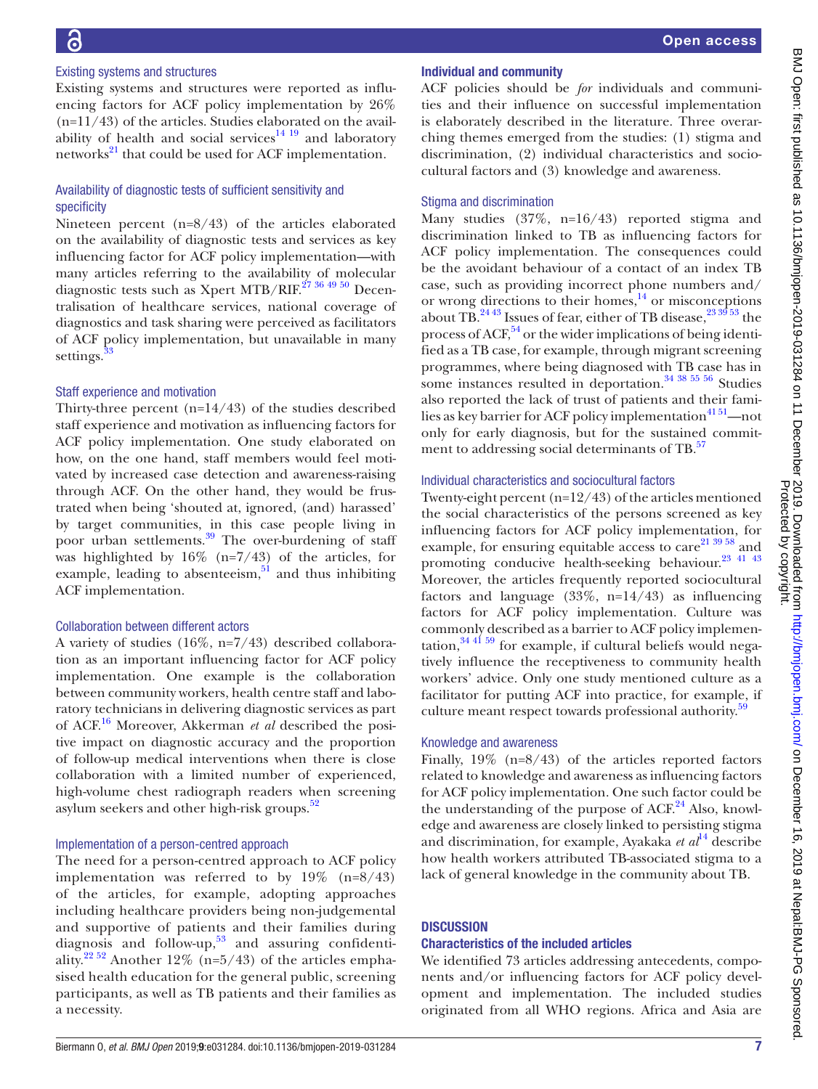#### Existing systems and structures

Existing systems and structures were reported as influencing factors for ACF policy implementation by 26%  $(n=11/43)$  of the articles. Studies elaborated on the availability of health and social services $14 \overline{19}$  and laboratory networks<sup>21</sup> that could be used for ACF implementation.

#### Availability of diagnostic tests of sufficient sensitivity and specificity

Nineteen percent (n=8/43) of the articles elaborated on the availability of diagnostic tests and services as key influencing factor for ACF policy implementation—with many articles referring to the availability of molecular diagnostic tests such as Xpert MTB/RIF.<sup>[27 36 49 50](#page-10-16)</sup> Decentralisation of healthcare services, national coverage of diagnostics and task sharing were perceived as facilitators of ACF policy implementation, but unavailable in many settings.<sup>3</sup>

#### Staff experience and motivation

Thirty-three percent  $(n=14/43)$  of the studies described staff experience and motivation as influencing factors for ACF policy implementation. One study elaborated on how, on the one hand, staff members would feel motivated by increased case detection and awareness-raising through ACF. On the other hand, they would be frustrated when being 'shouted at, ignored, (and) harassed' by target communities, in this case people living in poor urban settlements. $\frac{39}{9}$  The over-burdening of staff was highlighted by  $16\%$  (n=7/43) of the articles, for example, leading to absenteeism, $51$  and thus inhibiting ACF implementation.

#### Collaboration between different actors

A variety of studies (16%, n=7/43) described collaboration as an important influencing factor for ACF policy implementation. One example is the collaboration between community workers, health centre staff and laboratory technicians in delivering diagnostic services as part of ACF.[16](#page-9-19) Moreover, Akkerman *et al* described the positive impact on diagnostic accuracy and the proportion of follow-up medical interventions when there is close collaboration with a limited number of experienced, high-volume chest radiograph readers when screening asylum seekers and other high-risk groups.<sup>[52](#page-10-9)</sup>

#### Implementation of a person-centred approach

The need for a person-centred approach to ACF policy implementation was referred to by 19% (n=8/43) of the articles, for example, adopting approaches including healthcare providers being non-judgemental and supportive of patients and their families during diagnosis and follow-up, [53](#page-10-10) and assuring confidenti-ality.<sup>[22 52](#page-9-23)</sup> Another 12% (n=5/43) of the articles emphasised health education for the general public, screening participants, as well as TB patients and their families as a necessity.

#### Individual and community

ACF policies should be *for* individuals and communities and their influence on successful implementation is elaborately described in the literature. Three overarching themes emerged from the studies: (1) stigma and discrimination, (2) individual characteristics and sociocultural factors and (3) knowledge and awareness.

#### Stigma and discrimination

Many studies (37%, n=16/43) reported stigma and discrimination linked to TB as influencing factors for ACF policy implementation. The consequences could be the avoidant behaviour of a contact of an index TB case, such as providing incorrect phone numbers and/ or wrong directions to their homes, $14$  or misconceptions about TB.<sup>[24 43](#page-9-20)</sup> Issues of fear, either of TB disease,  $^{23}$   $^{39}$  53 the process of ACF,<sup>54</sup> or the wider implications of being identified as a TB case, for example, through migrant screening programmes, where being diagnosed with TB case has in some instances resulted in deportation. $34\frac{38\frac{55}{56}}{$  Studies also reported the lack of trust of patients and their families as key barrier for ACF policy implementation<sup>41 51</sup>-not only for early diagnosis, but for the sustained commitment to addressing social determinants of TB.<sup>57</sup>

#### Individual characteristics and sociocultural factors

Twenty-eight percent (n=12/43) of the articles mentioned the social characteristics of the persons screened as key influencing factors for ACF policy implementation, for example, for ensuring equitable access to care $^{21\,39\,58}$  and promoting conducive health-seeking behaviour.<sup>[23 41 43](#page-9-13)</sup> Moreover, the articles frequently reported sociocultural factors and language  $(33\%, n=14/43)$  as influencing factors for ACF policy implementation. Culture was commonly described as a barrier to ACF policy implementation, $34\frac{41\,59}{10}$  for example, if cultural beliefs would negatively influence the receptiveness to community health workers' advice. Only one study mentioned culture as a facilitator for putting ACF into practice, for example, if culture meant respect towards professional authority.<sup>51</sup>

#### Knowledge and awareness

Finally, 19% (n=8/43) of the articles reported factors related to knowledge and awareness as influencing factors for ACF policy implementation. One such factor could be the understanding of the purpose of  $ACF<sup>24</sup>$  Also, knowledge and awareness are closely linked to persisting stigma and discrimination, for example, Ayakaka *et al*<sup>14</sup> describe how health workers attributed TB-associated stigma to a lack of general knowledge in the community about TB.

#### **DISCUSSION**

#### Characteristics of the included articles

We identified 73 articles addressing antecedents, components and/or influencing factors for ACF policy development and implementation. The included studies originated from all WHO regions. Africa and Asia are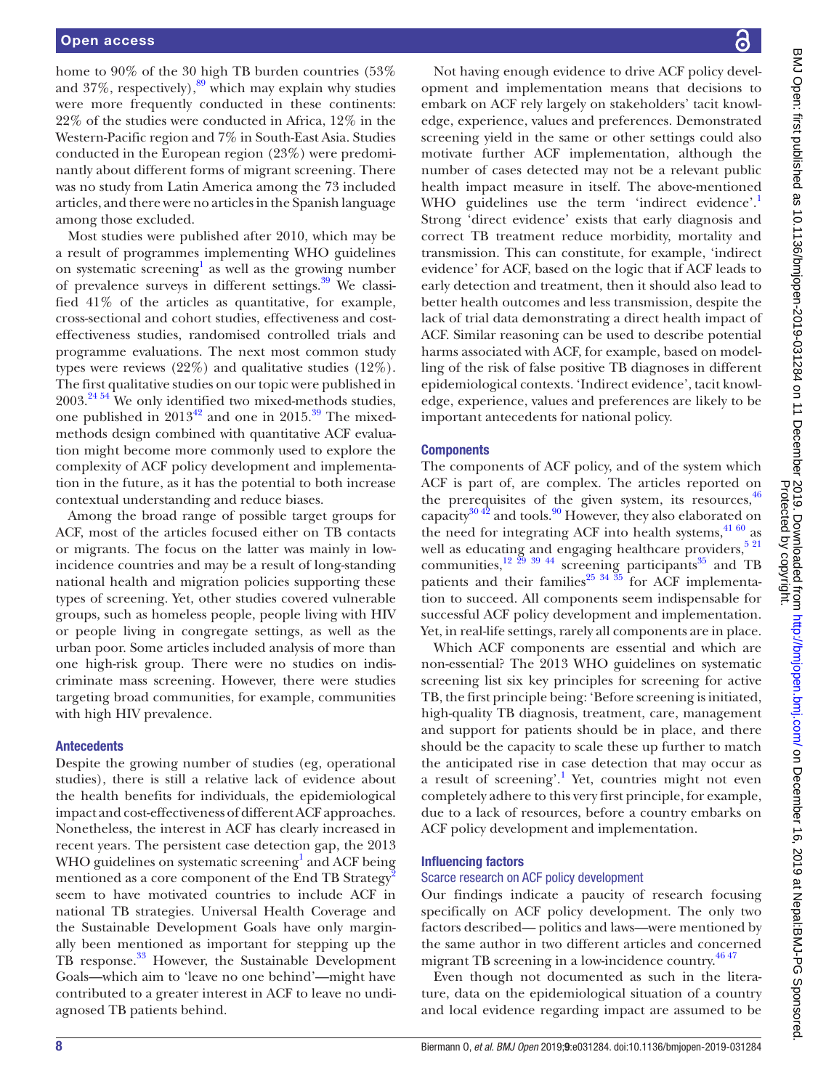home to 90% of the 30 high TB burden countries (53% and  $37\%$ , respectively), $89$  which may explain why studies were more frequently conducted in these continents: 22% of the studies were conducted in Africa, 12% in the Western-Pacific region and 7% in South-East Asia. Studies conducted in the European region (23%) were predominantly about different forms of migrant screening. There was no study from Latin America among the 73 included articles, and there were no articles in the Spanish language among those excluded.

Most studies were published after 2010, which may be a result of programmes implementing WHO guidelines on systematic screening<sup>1</sup> as well as the growing number of prevalence surveys in different settings. $39$  We classified 41% of the articles as quantitative, for example, cross-sectional and cohort studies, effectiveness and costeffectiveness studies, randomised controlled trials and programme evaluations. The next most common study types were reviews (22%) and qualitative studies (12%). The first qualitative studies on our topic were published in  $2003.<sup>24.54</sup>$  We only identified two mixed-methods studies, one published in  $2013^{42}$  $2013^{42}$  $2013^{42}$  and one in  $2015.^{39}$  The mixedmethods design combined with quantitative ACF evaluation might become more commonly used to explore the complexity of ACF policy development and implementation in the future, as it has the potential to both increase contextual understanding and reduce biases.

Among the broad range of possible target groups for ACF, most of the articles focused either on TB contacts or migrants. The focus on the latter was mainly in lowincidence countries and may be a result of long-standing national health and migration policies supporting these types of screening. Yet, other studies covered vulnerable groups, such as homeless people, people living with HIV or people living in congregate settings, as well as the urban poor. Some articles included analysis of more than one high-risk group. There were no studies on indiscriminate mass screening. However, there were studies targeting broad communities, for example, communities with high HIV prevalence.

#### Antecedents

Despite the growing number of studies (eg, operational studies), there is still a relative lack of evidence about the health benefits for individuals, the epidemiological impact and cost-effectiveness of different ACF approaches. Nonetheless, the interest in ACF has clearly increased in recent years. The persistent case detection gap, the 2013 WHO guidelines on systematic screening<sup>[1](#page-9-0)</sup> and ACF being mentioned as a core component of the End TB Strategy<sup>[2](#page-9-1)</sup> seem to have motivated countries to include ACF in national TB strategies. Universal Health Coverage and the Sustainable Development Goals have only marginally been mentioned as important for stepping up the TB response.<sup>[33](#page-10-5)</sup> However, the Sustainable Development Goals—which aim to 'leave no one behind'—might have contributed to a greater interest in ACF to leave no undiagnosed TB patients behind.

Not having enough evidence to drive ACF policy development and implementation means that decisions to embark on ACF rely largely on stakeholders' tacit knowledge, experience, values and preferences. Demonstrated screening yield in the same or other settings could also motivate further ACF implementation, although the number of cases detected may not be a relevant public health impact measure in itself. The above-mentioned WHO guidelines use the term 'indirect evidence'. Strong 'direct evidence' exists that early diagnosis and correct TB treatment reduce morbidity, mortality and transmission. This can constitute, for example, 'indirect evidence' for ACF, based on the logic that if ACF leads to early detection and treatment, then it should also lead to better health outcomes and less transmission, despite the lack of trial data demonstrating a direct health impact of ACF. Similar reasoning can be used to describe potential harms associated with ACF, for example, based on modelling of the risk of false positive TB diagnoses in different epidemiological contexts. 'Indirect evidence', tacit knowledge, experience, values and preferences are likely to be important antecedents for national policy.

#### **Components**

The components of ACF policy, and of the system which ACF is part of, are complex. The articles reported on the prerequisites of the given system, its resources,  $46$ capacity $3042$  and tools.<sup>90</sup> However, they also elaborated on the need for integrating ACF into health systems,  $41\,60$  as well as educating and engaging healthcare providers,<sup>[5 21](#page-9-4)</sup> communities, $12^{29}$  39 44 screening participants<sup>35</sup> and TB patients and their families<sup>25</sup>  $34\overline{35}$  for ACF implementation to succeed. All components seem indispensable for successful ACF policy development and implementation. Yet, in real-life settings, rarely all components are in place.

Which ACF components are essential and which are non-essential? The 2013 WHO guidelines on systematic screening list six key principles for screening for active TB, the first principle being: 'Before screening is initiated, high-quality TB diagnosis, treatment, care, management and support for patients should be in place, and there should be the capacity to scale these up further to match the anticipated rise in case detection that may occur as a result of screening'.<sup>1</sup> Yet, countries might not even completely adhere to this very first principle, for example, due to a lack of resources, before a country embarks on ACF policy development and implementation.

#### Influencing factors

#### Scarce research on ACF policy development

Our findings indicate a paucity of research focusing specifically on ACF policy development. The only two factors described— politics and laws—were mentioned by the same author in two different articles and concerned migrant TB screening in a low-incidence country.<sup>[46 47](#page-10-25)</sup>

Even though not documented as such in the literature, data on the epidemiological situation of a country and local evidence regarding impact are assumed to be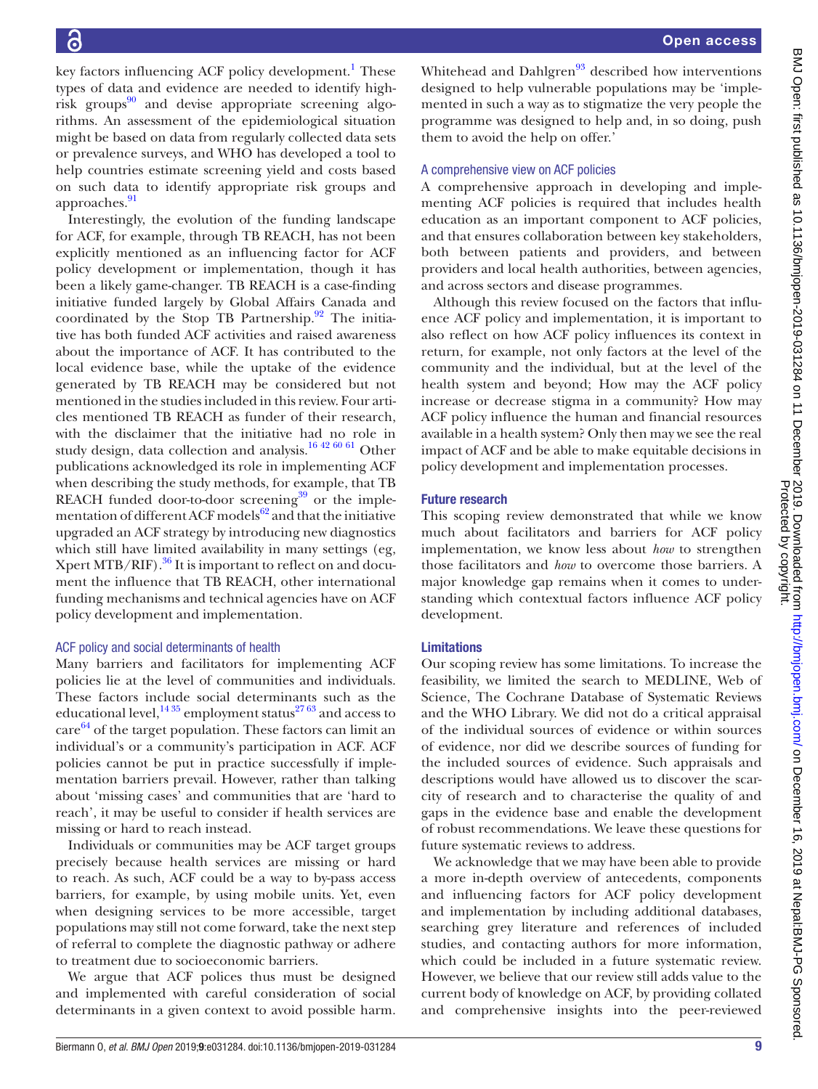designed to help vulnerable populations may be 'implemented in such a way as to stigmatize the very people the programme was designed to help and, in so doing, push them to avoid the help on offer.' A comprehensive view on ACF policies A comprehensive approach in developing and implementing ACF policies is required that includes health education as an important component to ACF policies, and that ensures collaboration between key stakeholders, both between patients and providers, and between providers and local health authorities, between agencies, and across sectors and disease programmes. Although this review focused on the factors that influence ACF policy and implementation, it is important to also reflect on how ACF policy influences its context in return, for example, not only factors at the level of the community and the individual, but at the level of the health system and beyond; How may the ACF policy increase or decrease stigma in a community? How may ACF policy influence the human and financial resources available in a health system? Only then may we see the real impact of ACF and be able to make equitable decisions in policy development and implementation processes. Future research

This scoping review demonstrated that while we know much about facilitators and barriers for ACF policy implementation, we know less about *how* to strengthen those facilitators and *how* to overcome those barriers. A major knowledge gap remains when it comes to understanding which contextual factors influence ACF policy development.

Whitehead and Dahlgren $93$  described how interventions

#### Limitations

Our scoping review has some limitations. To increase the feasibility, we limited the search to MEDLINE, Web of Science, The Cochrane Database of Systematic Reviews and the WHO Library. We did not do a critical appraisal of the individual sources of evidence or within sources of evidence, nor did we describe sources of funding for the included sources of evidence. Such appraisals and descriptions would have allowed us to discover the scarcity of research and to characterise the quality of and gaps in the evidence base and enable the development of robust recommendations. We leave these questions for future systematic reviews to address.

We acknowledge that we may have been able to provide a more in-depth overview of antecedents, components and influencing factors for ACF policy development and implementation by including additional databases, searching grey literature and references of included studies, and contacting authors for more information, which could be included in a future systematic review. However, we believe that our review still adds value to the current body of knowledge on ACF, by providing collated and comprehensive insights into the peer-reviewed

key factors influencing ACF policy development.<sup>1</sup> These types of data and evidence are needed to identify highrisk groups $^{90}$  and devise appropriate screening algorithms. An assessment of the epidemiological situation might be based on data from regularly collected data sets or prevalence surveys, and WHO has developed a tool to help countries estimate screening yield and costs based on such data to identify appropriate risk groups and approaches.<sup>91</sup>

Interestingly, the evolution of the funding landscape for ACF, for example, through TB REACH, has not been explicitly mentioned as an influencing factor for ACF policy development or implementation, though it has been a likely game-changer. TB REACH is a case-finding initiative funded largely by Global Affairs Canada and coordinated by the Stop TB Partnership.<sup>92</sup> The initiative has both funded ACF activities and raised awareness about the importance of ACF. It has contributed to the local evidence base, while the uptake of the evidence generated by TB REACH may be considered but not mentioned in the studies included in this review. Four articles mentioned TB REACH as funder of their research, with the disclaimer that the initiative had no role in study design, data collection and analysis.<sup>16 42 60 61</sup> Other publications acknowledged its role in implementing ACF when describing the study methods, for example, that TB REACH funded door-to-door screening $39$  or the implementation of different ACF models $^{62}$  and that the initiative upgraded an ACF strategy by introducing new diagnostics which still have limited availability in many settings (eg, Xpert MTB/RIF). $^{36}$  $^{36}$  $^{36}$  It is important to reflect on and document the influence that TB REACH, other international funding mechanisms and technical agencies have on ACF policy development and implementation.

#### ACF policy and social determinants of health

Many barriers and facilitators for implementing ACF policies lie at the level of communities and individuals. These factors include social determinants such as the educational level,  $1435$  employment status<sup>[27 63](#page-10-16)</sup> and access to care<sup>64</sup> of the target population. These factors can limit an individual's or a community's participation in ACF. ACF policies cannot be put in practice successfully if implementation barriers prevail. However, rather than talking about 'missing cases' and communities that are 'hard to reach', it may be useful to consider if health services are missing or hard to reach instead.

Individuals or communities may be ACF target groups precisely because health services are missing or hard to reach. As such, ACF could be a way to by-pass access barriers, for example, by using mobile units. Yet, even when designing services to be more accessible, target populations may still not come forward, take the next step of referral to complete the diagnostic pathway or adhere to treatment due to socioeconomic barriers.

We argue that ACF polices thus must be designed and implemented with careful consideration of social determinants in a given context to avoid possible harm.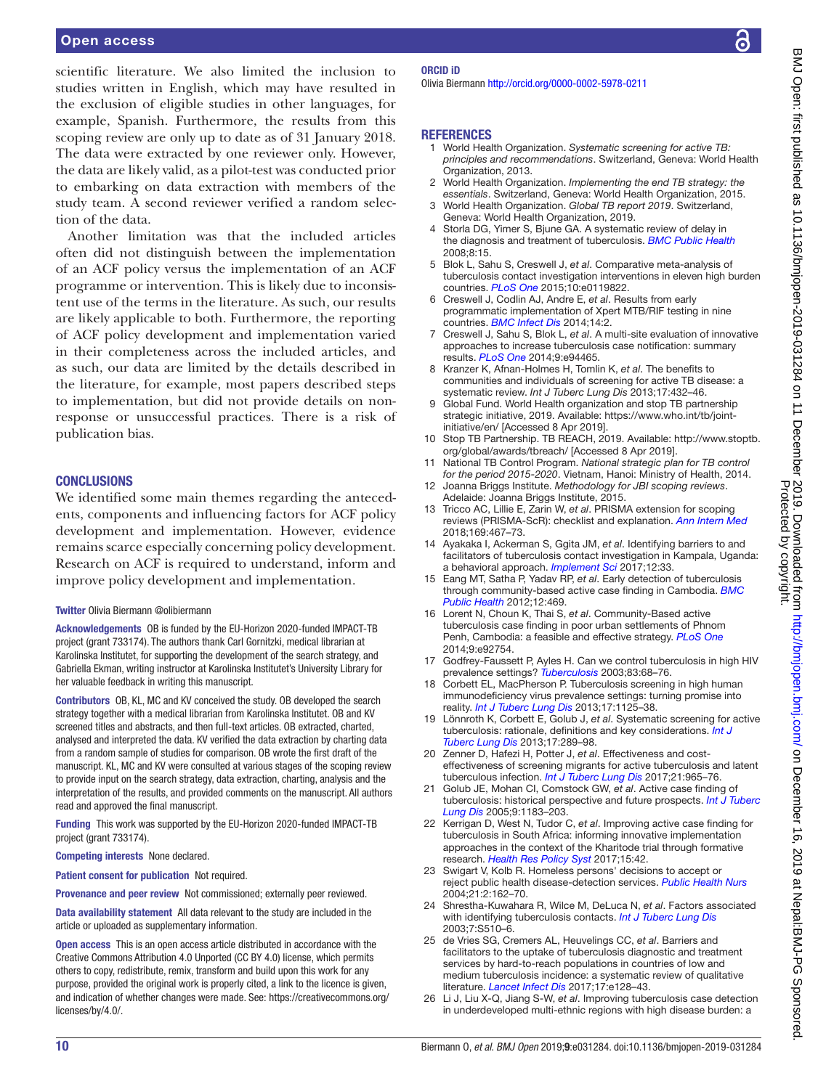scientific literature. We also limited the inclusion to studies written in English, which may have resulted in the exclusion of eligible studies in other languages, for example, Spanish. Furthermore, the results from this scoping review are only up to date as of 31 January 2018. The data were extracted by one reviewer only. However, the data are likely valid, as a pilot-test was conducted prior to embarking on data extraction with members of the study team. A second reviewer verified a random selection of the data.

Another limitation was that the included articles often did not distinguish between the implementation of an ACF policy versus the implementation of an ACF programme or intervention. This is likely due to inconsistent use of the terms in the literature. As such, our results are likely applicable to both. Furthermore, the reporting of ACF policy development and implementation varied in their completeness across the included articles, and as such, our data are limited by the details described in the literature, for example, most papers described steps to implementation, but did not provide details on nonresponse or unsuccessful practices. There is a risk of publication bias.

#### **CONCLUSIONS**

We identified some main themes regarding the antecedents, components and influencing factors for ACF policy development and implementation. However, evidence remains scarce especially concerning policy development. Research on ACF is required to understand, inform and improve policy development and implementation.

#### Twitter Olivia Biermann [@olibiermann](https://twitter.com/olibiermann)

Acknowledgements OB is funded by the EU-Horizon 2020-funded IMPACT-TB project (grant 733174). The authors thank Carl Gornitzki, medical librarian at Karolinska Institutet, for supporting the development of the search strategy, and Gabriella Ekman, writing instructor at Karolinska Institutet's University Library for her valuable feedback in writing this manuscript.

Contributors OB, KL, MC and KV conceived the study. OB developed the search strategy together with a medical librarian from Karolinska Institutet. OB and KV screened titles and abstracts, and then full-text articles. OB extracted, charted, analysed and interpreted the data. KV verified the data extraction by charting data from a random sample of studies for comparison. OB wrote the first draft of the manuscript. KL, MC and KV were consulted at various stages of the scoping review to provide input on the search strategy, data extraction, charting, analysis and the interpretation of the results, and provided comments on the manuscript. All authors read and approved the final manuscript.

Funding This work was supported by the EU-Horizon 2020-funded IMPACT-TB project (grant 733174).

Competing interests None declared.

Patient consent for publication Not required.

Provenance and peer review Not commissioned; externally peer reviewed.

Data availability statement All data relevant to the study are included in the article or uploaded as supplementary information.

Open access This is an open access article distributed in accordance with the Creative Commons Attribution 4.0 Unported (CC BY 4.0) license, which permits others to copy, redistribute, remix, transform and build upon this work for any purpose, provided the original work is properly cited, a link to the licence is given, and indication of whether changes were made. See: [https://creativecommons.org/](https://creativecommons.org/licenses/by/4.0/) [licenses/by/4.0/.](https://creativecommons.org/licenses/by/4.0/)

#### ORCID iD

Olivia Biermann<http://orcid.org/0000-0002-5978-0211>

#### **REFERENCES**

- <span id="page-9-0"></span>1 World Health Organization. *Systematic screening for active TB: principles and recommendations*. Switzerland, Geneva: World Health Organization, 2013.
- <span id="page-9-1"></span>2 World Health Organization. *Implementing the end TB strategy: the essentials*. Switzerland, Geneva: World Health Organization, 2015.
- <span id="page-9-2"></span>3 World Health Organization. *Global TB report 2019*. Switzerland, Geneva: World Health Organization, 2019.
- <span id="page-9-3"></span>Storla DG, Yimer S, Bjune GA. A systematic review of delay in the diagnosis and treatment of tuberculosis. *[BMC Public Health](http://dx.doi.org/10.1186/1471-2458-8-15)* 2008;8:15.
- <span id="page-9-4"></span>5 Blok L, Sahu S, Creswell J, *et al*. Comparative meta-analysis of tuberculosis contact investigation interventions in eleven high burden countries. *[PLoS One](http://dx.doi.org/10.1371/journal.pone.0119822)* 2015;10:e0119822.
- 6 Creswell J, Codlin AJ, Andre E, *et al*. Results from early programmatic implementation of Xpert MTB/RIF testing in nine countries. *[BMC Infect Dis](http://dx.doi.org/10.1186/1471-2334-14-2)* 2014;14:2.
- 7 Creswell J, Sahu S, Blok L, *et al*. A multi-site evaluation of innovative approaches to increase tuberculosis case notification: summary results. *[PLoS One](http://dx.doi.org/10.1371/journal.pone.0094465)* 2014;9:e94465.
- <span id="page-9-5"></span>8 Kranzer K, Afnan-Holmes H, Tomlin K, *et al*. The benefits to communities and individuals of screening for active TB disease: a systematic review. *Int J Tuberc Lung Dis* 2013;17:432–46.
- <span id="page-9-6"></span>Global Fund. World Health organization and stop TB partnership strategic initiative, 2019. Available: [https://www.who.int/tb/joint](https://www.who.int/tb/joint-initiative/en/)[initiative/en/](https://www.who.int/tb/joint-initiative/en/) [Accessed 8 Apr 2019].
- <span id="page-9-7"></span>10 Stop TB Partnership. TB REACH, 2019. Available: [http://www.stoptb.](http://www.stoptb.org/global/awards/tbreach/) [org/global/awards/tbreach/](http://www.stoptb.org/global/awards/tbreach/) [Accessed 8 Apr 2019].
- <span id="page-9-8"></span>11 National TB Control Program. *National strategic plan for TB control for the period 2015-2020*. Vietnam, Hanoi: Ministry of Health, 2014.
- <span id="page-9-9"></span>12 Joanna Briggs Institute. *Methodology for JBI scoping reviews*. Adelaide: Joanna Briggs Institute, 2015.
- <span id="page-9-10"></span>13 Tricco AC, Lillie E, Zarin W, *et al*. PRISMA extension for scoping reviews (PRISMA-ScR): checklist and explanation. *[Ann Intern Med](http://dx.doi.org/10.7326/M18-0850)* 2018;169:467–73.
- <span id="page-9-12"></span>14 Ayakaka I, Ackerman S, Ggita JM, *et al*. Identifying barriers to and facilitators of tuberculosis contact investigation in Kampala, Uganda: a behavioral approach. *[Implement Sci](http://dx.doi.org/10.1186/s13012-017-0561-4)* 2017;12:33.
- <span id="page-9-14"></span>15 Eang MT, Satha P, Yadav RP, *et al*. Early detection of tuberculosis through community-based active case finding in Cambodia. *[BMC](http://dx.doi.org/10.1186/1471-2458-12-469)  [Public Health](http://dx.doi.org/10.1186/1471-2458-12-469)* 2012;12:469.
- <span id="page-9-19"></span>16 Lorent N, Choun K, Thai S, *et al*. Community-Based active tuberculosis case finding in poor urban settlements of Phnom Penh, Cambodia: a feasible and effective strategy. *[PLoS One](http://dx.doi.org/10.1371/journal.pone.0092754)* 2014;9:e92754.
- <span id="page-9-11"></span>17 Godfrey-Faussett P, Ayles H. Can we control tuberculosis in high HIV prevalence settings? *[Tuberculosis](http://dx.doi.org/10.1016/S1472-9792(02)00083-5)* 2003;83:68–76.
- <span id="page-9-18"></span>18 Corbett EL, MacPherson P. Tuberculosis screening in high human immunodeficiency virus prevalence settings: turning promise into reality. *[Int J Tuberc Lung Dis](http://dx.doi.org/10.5588/ijtld.13.0117)* 2013;17:1125–38.
- <span id="page-9-15"></span>19 Lönnroth K, Corbett E, Golub J, *et al*. Systematic screening for active tuberculosis: rationale, definitions and key considerations. *[Int J](http://dx.doi.org/10.5588/ijtld.12.0797)  [Tuberc Lung Dis](http://dx.doi.org/10.5588/ijtld.12.0797)* 2013;17:289–98.
- <span id="page-9-17"></span>20 Zenner D, Hafezi H, Potter J, *et al*. Effectiveness and costeffectiveness of screening migrants for active tuberculosis and latent tuberculous infection. *[Int J Tuberc Lung Dis](http://dx.doi.org/10.5588/ijtld.16.0935)* 2017;21:965–76.
- <span id="page-9-21"></span>21 Golub JE, Mohan CI, Comstock GW, *et al*. Active case finding of tuberculosis: historical perspective and future prospects. *[Int J Tuberc](http://www.ncbi.nlm.nih.gov/pubmed/16333924)  [Lung Dis](http://www.ncbi.nlm.nih.gov/pubmed/16333924)* 2005;9:1183–203.
- <span id="page-9-23"></span>22 Kerrigan D, West N, Tudor C, *et al*. Improving active case finding for tuberculosis in South Africa: informing innovative implementation approaches in the context of the Kharitode trial through formative research. *[Health Res Policy Syst](http://dx.doi.org/10.1186/s12961-017-0206-8)* 2017;15:42.
- <span id="page-9-13"></span>23 Swigart V, Kolb R. Homeless persons' decisions to accept or reject public health disease-detection services. *[Public Health Nurs](http://dx.doi.org/10.1111/j.0737-1209.2004.021210.x)* 2004;21:2:162–70.
- <span id="page-9-20"></span>24 Shrestha-Kuwahara R, Wilce M, DeLuca N, *et al*. Factors associated with identifying tuberculosis contacts. *[Int J Tuberc Lung Dis](http://www.ncbi.nlm.nih.gov/pubmed/14677845)* 2003;7:S510–6.
- <span id="page-9-22"></span>25 de Vries SG, Cremers AL, Heuvelings CC, *et al*. Barriers and facilitators to the uptake of tuberculosis diagnostic and treatment services by hard-to-reach populations in countries of low and medium tuberculosis incidence: a systematic review of qualitative literature. *[Lancet Infect Dis](http://dx.doi.org/10.1016/S1473-3099(16)30531-X)* 2017;17:e128–43.
- <span id="page-9-16"></span>26 Li J, Liu X-Q, Jiang S-W, *et al*. Improving tuberculosis case detection in underdeveloped multi-ethnic regions with high disease burden: a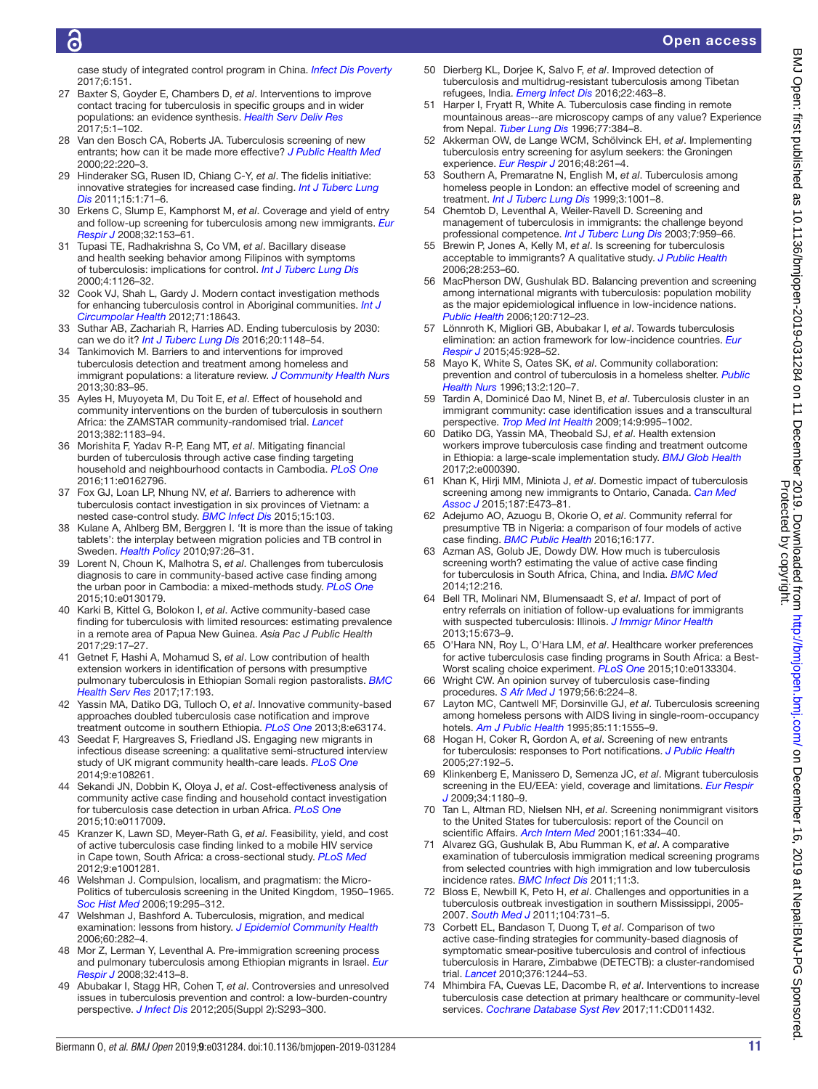## Õ

case study of integrated control program in China. *[Infect Dis Poverty](http://dx.doi.org/10.1186/s40249-017-0365-4)* 2017;6:151.

- <span id="page-10-16"></span>27 Baxter S, Goyder E, Chambers D, *et al*. Interventions to improve contact tracing for tuberculosis in specific groups and in wider populations: an evidence synthesis. *[Health Serv Deliv Res](http://dx.doi.org/10.3310/hsdr05010)* 2017;5:1–102.
- <span id="page-10-2"></span>28 Van den Bosch CA, Roberts JA. Tuberculosis screening of new entrants; how can it be made more effective? *[J Public Health Med](http://dx.doi.org/10.1093/pubmed/22.2.220)* 2000;22:220–3.
- <span id="page-10-7"></span>29 Hinderaker SG, Rusen ID, Chiang C-Y, *et al*. The fidelis initiative: innovative strategies for increased case finding. *[Int J Tuberc Lung](http://www.ncbi.nlm.nih.gov/pubmed/21276300)  [Dis](http://www.ncbi.nlm.nih.gov/pubmed/21276300)* 2011;15:1:71–6.
- <span id="page-10-17"></span>30 Erkens C, Slump E, Kamphorst M, *et al*. Coverage and yield of entry and follow-up screening for tuberculosis among new immigrants. *[Eur](http://dx.doi.org/10.1183/09031936.00137907)  [Respir J](http://dx.doi.org/10.1183/09031936.00137907)* 2008;32:153–61.
- <span id="page-10-18"></span>31 Tupasi TE, Radhakrishna S, Co VM, *et al*. Bacillary disease and health seeking behavior among Filipinos with symptoms of tuberculosis: implications for control. *[Int J Tuberc Lung Dis](http://www.ncbi.nlm.nih.gov/pubmed/11144454)* 2000;4:1126–32.
- <span id="page-10-21"></span>32 Cook VJ, Shah L, Gardy J. Modern contact investigation methods for enhancing tuberculosis control in Aboriginal communities. *[Int J](http://dx.doi.org/10.3402/ijch.v71i0.18643)  [Circumpolar Health](http://dx.doi.org/10.3402/ijch.v71i0.18643)* 2012;71:18643.
- <span id="page-10-5"></span>33 Suthar AB, Zachariah R, Harries AD. Ending tuberculosis by 2030: can we do it? *[Int J Tuberc Lung Dis](http://dx.doi.org/10.5588/ijtld.16.0142)* 2016;20:1148–54.
- <span id="page-10-15"></span>34 Tankimovich M. Barriers to and interventions for improved tuberculosis detection and treatment among homeless and immigrant populations: a literature review. *[J Community Health Nurs](http://dx.doi.org/10.1080/07370016.2013.778723)* 2013;30:83–95.
- <span id="page-10-30"></span>35 Ayles H, Muyoyeta M, Du Toit E, *et al*. Effect of household and community interventions on the burden of tuberculosis in southern Africa: the ZAMSTAR community-randomised trial. *[Lancet](http://dx.doi.org/10.1016/S0140-6736(13)61131-9)* 2013;382:1183–94.
- <span id="page-10-20"></span>36 Morishita F, Yadav R-P, Eang MT, *et al*. Mitigating financial burden of tuberculosis through active case finding targeting household and neighbourhood contacts in Cambodia. *[PLoS One](http://dx.doi.org/10.1371/journal.pone.0162796)* 2016;11:e0162796.
- 37 Fox GJ, Loan LP, Nhung NV, *et al*. Barriers to adherence with tuberculosis contact investigation in six provinces of Vietnam: a nested case-control study. *[BMC Infect Dis](http://dx.doi.org/10.1186/s12879-015-0816-0)* 2015;15:103.
- 38 Kulane A, Ahlberg BM, Berggren I. 'It is more than the issue of taking tablets': the interplay between migration policies and TB control in Sweden. *[Health Policy](http://dx.doi.org/10.1016/j.healthpol.2010.02.014)* 2010;97:26–31.
- <span id="page-10-4"></span>39 Lorent N, Choun K, Malhotra S, *et al*. Challenges from tuberculosis diagnosis to care in community-based active case finding among the urban poor in Cambodia: a mixed-methods study. *[PLoS One](http://dx.doi.org/10.1371/journal.pone.0130179)* 2015;10:e0130179.
- <span id="page-10-19"></span>40 Karki B, Kittel G, Bolokon I, *et al*. Active community-based case finding for tuberculosis with limited resources: estimating prevalence in a remote area of Papua New Guinea. *Asia Pac J Public Health* 2017;29:17–27.
- <span id="page-10-6"></span>41 Getnet F, Hashi A, Mohamud S, *et al*. Low contribution of health extension workers in identification of persons with presumptive pulmonary tuberculosis in Ethiopian Somali region pastoralists. *[BMC](http://dx.doi.org/10.1186/s12913-017-2133-3)  [Health Serv Res](http://dx.doi.org/10.1186/s12913-017-2133-3)* 2017;17:193.
- <span id="page-10-24"></span>42 Yassin MA, Datiko DG, Tulloch O, *et al*. Innovative community-based approaches doubled tuberculosis case notification and improve treatment outcome in southern Ethiopia. *[PLoS One](http://dx.doi.org/10.1371/journal.pone.0063174)* 2013;8:e63174.
- <span id="page-10-22"></span>43 Seedat F, Hargreaves S, Friedland JS. Engaging new migrants in infectious disease screening: a qualitative semi-structured interview study of UK migrant community health-care leads. *[PLoS One](http://dx.doi.org/10.1371/journal.pone.0108261)* 2014;9:e108261.
- 44 Sekandi JN, Dobbin K, Oloya J, *et al*. Cost-effectiveness analysis of community active case finding and household contact investigation for tuberculosis case detection in urban Africa. *[PLoS One](http://dx.doi.org/10.1371/journal.pone.0117009)* 2015;10:e0117009.
- <span id="page-10-23"></span>45 Kranzer K, Lawn SD, Meyer-Rath G, *et al*. Feasibility, yield, and cost of active tuberculosis case finding linked to a mobile HIV service in Cape town, South Africa: a cross-sectional study. *[PLoS Med](http://dx.doi.org/10.1371/journal.pmed.1001281)* 2012;9:e1001281.
- <span id="page-10-25"></span>46 Welshman J. Compulsion, localism, and pragmatism: the Micro-Politics of tuberculosis screening in the United Kingdom, 1950–1965. *[Soc Hist Med](http://dx.doi.org/10.1093/shm/hkl002)* 2006;19:295–312.
- <span id="page-10-11"></span>47 Welshman J, Bashford A. Tuberculosis, migration, and medical examination: lessons from history. *[J Epidemiol Community Health](http://dx.doi.org/10.1136/jech.2005.038604)* 2006;60:282–4.
- <span id="page-10-26"></span>48 Mor Z, Lerman Y, Leventhal A. Pre-immigration screening process and pulmonary tuberculosis among Ethiopian migrants in Israel. *[Eur](http://dx.doi.org/10.1183/09031936.00145907)  [Respir J](http://dx.doi.org/10.1183/09031936.00145907)* 2008;32:413–8.
- <span id="page-10-8"></span>49 Abubakar I, Stagg HR, Cohen T, *et al*. Controversies and unresolved issues in tuberculosis prevention and control: a low-burden-country perspective. *[J Infect Dis](http://dx.doi.org/10.1093/infdis/jir886)* 2012;205(Suppl 2):S293–300.
- <span id="page-10-3"></span>50 Dierberg KL, Dorjee K, Salvo F, *et al*. Improved detection of tuberculosis and multidrug-resistant tuberculosis among Tibetan refugees, India. *[Emerg Infect Dis](http://dx.doi.org/10.3201/eid2203.140732)* 2016;22:463–8.
- <span id="page-10-1"></span>51 Harper I, Fryatt R, White A. Tuberculosis case finding in remote mountainous areas--are microscopy camps of any value? Experience from Nepal. *[Tuber Lung Dis](http://dx.doi.org/10.1016/S0962-8479(96)90107-0)* 1996;77:384–8.
- <span id="page-10-9"></span>52 Akkerman OW, de Lange WCM, Schölvinck EH, *et al*. Implementing tuberculosis entry screening for asylum seekers: the Groningen experience. *[Eur Respir J](http://dx.doi.org/10.1183/13993003.00112-2016)* 2016;48:261–4.
- <span id="page-10-10"></span>53 Southern A, Premaratne N, English M, *et al*. Tuberculosis among homeless people in London: an effective model of screening and treatment. *[Int J Tuberc Lung Dis](http://www.ncbi.nlm.nih.gov/pubmed/10587322)* 1999;3:1001–8.
- <span id="page-10-27"></span>54 Chemtob D, Leventhal A, Weiler-Ravell D. Screening and management of tuberculosis in immigrants: the challenge beyond professional competence. *[Int J Tuberc Lung Dis](http://www.ncbi.nlm.nih.gov/pubmed/14552566)* 2003;7:959–66.
- 55 Brewin P, Jones A, Kelly M, *et al*. Is screening for tuberculosis acceptable to immigrants? A qualitative study. *[J Public Health](http://dx.doi.org/10.1093/pubmed/fdl031)* 2006;28:253–60.
- 56 MacPherson DW, Gushulak BD. Balancing prevention and screening among international migrants with tuberculosis: population mobility as the major epidemiological influence in low-incidence nations. *[Public Health](http://dx.doi.org/10.1016/j.puhe.2006.05.002)* 2006;120:712–23.
- <span id="page-10-28"></span>57 Lönnroth K, Migliori GB, Abubakar I, *et al*. Towards tuberculosis elimination: an action framework for low-incidence countries. *[Eur](http://dx.doi.org/10.1183/09031936.00214014)  [Respir J](http://dx.doi.org/10.1183/09031936.00214014)* 2015;45:928–52.
- 58 Mayo K, White S, Oates SK, *et al*. Community collaboration: prevention and control of tuberculosis in a homeless shelter. *[Public](http://dx.doi.org/10.1111/j.1525-1446.1996.tb00229.x)  [Health Nurs](http://dx.doi.org/10.1111/j.1525-1446.1996.tb00229.x)* 1996;13:2:120–7.
- <span id="page-10-29"></span>59 Tardin A, Dominicé Dao M, Ninet B, *et al*. Tuberculosis cluster in an immigrant community: case identification issues and a transcultural perspective. *[Trop Med Int Health](http://dx.doi.org/10.1111/j.1365-3156.2009.02325.x)* 2009;14:9:995–1002.
- 60 Datiko DG, Yassin MA, Theobald SJ, *et al*. Health extension workers improve tuberculosis case finding and treatment outcome in Ethiopia: a large-scale implementation study. *[BMJ Glob Health](http://dx.doi.org/10.1136/bmjgh-2017-000390)* 2017;2:e000390.
- 61 Khan K, Hirji MM, Miniota J, *et al*. Domestic impact of tuberculosis screening among new immigrants to Ontario, Canada. *[Can Med](http://dx.doi.org/10.1503/cmaj.150011)  [Assoc J](http://dx.doi.org/10.1503/cmaj.150011)* 2015;187:E473–81.
- <span id="page-10-31"></span>62 Adejumo AO, Azuogu B, Okorie O, *et al*. Community referral for presumptive TB in Nigeria: a comparison of four models of active case finding. *[BMC Public Health](http://dx.doi.org/10.1186/s12889-016-2769-7)* 2016;16:177.
- 63 Azman AS, Golub JE, Dowdy DW. How much is tuberculosis screening worth? estimating the value of active case finding for tuberculosis in South Africa, China, and India. *[BMC Med](http://dx.doi.org/10.1186/s12916-014-0216-0)* 2014;12:216.
- <span id="page-10-32"></span>64 Bell TR, Molinari NM, Blumensaadt S, *et al*. Impact of port of entry referrals on initiation of follow-up evaluations for immigrants with suspected tuberculosis: Illinois. *[J Immigr Minor Health](http://dx.doi.org/10.1007/s10903-013-9779-7)* 2013;15:673–9.
- <span id="page-10-13"></span>65 O'Hara NN, Roy L, O'Hara LM, *et al*. Healthcare worker preferences for active tuberculosis case finding programs in South Africa: a Best-Worst scaling choice experiment. *[PLoS One](http://dx.doi.org/10.1371/journal.pone.0133304)* 2015;10:e0133304.
- <span id="page-10-0"></span>66 Wright CW. An opinion survey of tuberculosis case-finding procedures. *[S Afr Med J](http://www.ncbi.nlm.nih.gov/pubmed/550473)* 1979;56:6:224–8.
- 67 Layton MC, Cantwell MF, Dorsinville GJ, *et al*. Tuberculosis screening among homeless persons with AIDS living in single-room-occupancy hotels. *[Am J Public Health](http://dx.doi.org/10.2105/AJPH.85.11.1556)* 1995;85:11:1555–9.
- 68 Hogan H, Coker R, Gordon A, *et al*. Screening of new entrants for tuberculosis: responses to Port notifications. *[J Public Health](http://dx.doi.org/10.1093/pubmed/fdi019)* 2005;27:192–5.
- 69 Klinkenberg E, Manissero D, Semenza JC, *et al*. Migrant tuberculosis screening in the EU/EEA: yield, coverage and limitations. *[Eur Respir](http://dx.doi.org/10.1183/09031936.00038009)  [J](http://dx.doi.org/10.1183/09031936.00038009)* 2009;34:1180–9.
- <span id="page-10-14"></span>70 Tan L, Altman RD, Nielsen NH, *et al*. Screening nonimmigrant visitors to the United States for tuberculosis: report of the Council on scientific Affairs. *[Arch Intern Med](http://dx.doi.org/10.1001/archinte.161.3.334)* 2001;161:334–40.
- 71 Alvarez GG, Gushulak B, Abu Rumman K, *et al*. A comparative examination of tuberculosis immigration medical screening programs from selected countries with high immigration and low tuberculosis incidence rates. *[BMC Infect Dis](http://dx.doi.org/10.1186/1471-2334-11-3)* 2011;11:3.
- <span id="page-10-12"></span>72 Bloss E, Newbill K, Peto H, *et al*. Challenges and opportunities in a tuberculosis outbreak investigation in southern Mississippi, 2005- 2007. *[South Med J](http://dx.doi.org/10.1097/SMJ.0b0.3e318232679e)* 2011;104:731–5.
- 73 Corbett EL, Bandason T, Duong T, *et al*. Comparison of two active case-finding strategies for community-based diagnosis of symptomatic smear-positive tuberculosis and control of infectious tuberculosis in Harare, Zimbabwe (DETECTB): a cluster-randomised trial. *[Lancet](http://dx.doi.org/10.1016/S0140-6736(10)61425-0)* 2010;376:1244–53.
- 74 Mhimbira FA, Cuevas LE, Dacombe R, *et al*. Interventions to increase tuberculosis case detection at primary healthcare or community-level services. *[Cochrane Database Syst Rev](http://dx.doi.org/10.1002/14651858.CD011432.pub2)* 2017;11:CD011432.